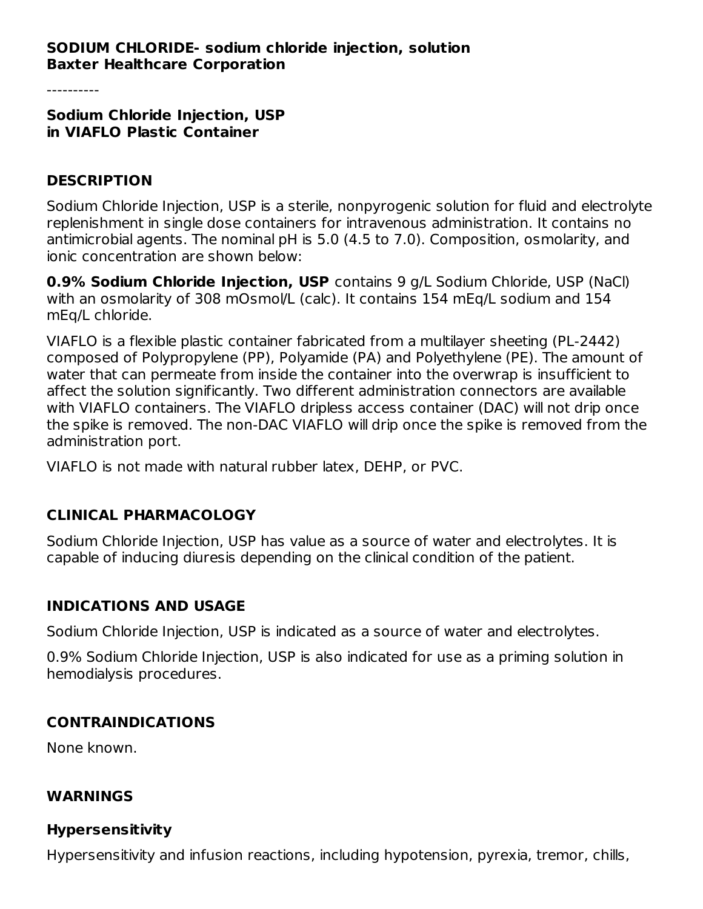### **SODIUM CHLORIDE- sodium chloride injection, solution Baxter Healthcare Corporation**

**Sodium Chloride Injection, USP in VIAFLO Plastic Container**

#### **DESCRIPTION**

Sodium Chloride Injection, USP is a sterile, nonpyrogenic solution for fluid and electrolyte replenishment in single dose containers for intravenous administration. It contains no antimicrobial agents. The nominal pH is 5.0 (4.5 to 7.0). Composition, osmolarity, and ionic concentration are shown below:

**0.9% Sodium Chloride Injection, USP** contains 9 g/L Sodium Chloride, USP (NaCl) with an osmolarity of 308 mOsmol/L (calc). It contains 154 mEq/L sodium and 154 mEq/L chloride.

VIAFLO is a flexible plastic container fabricated from a multilayer sheeting (PL-2442) composed of Polypropylene (PP), Polyamide (PA) and Polyethylene (PE). The amount of water that can permeate from inside the container into the overwrap is insufficient to affect the solution significantly. Two different administration connectors are available with VIAFLO containers. The VIAFLO dripless access container (DAC) will not drip once the spike is removed. The non-DAC VIAFLO will drip once the spike is removed from the administration port.

VIAFLO is not made with natural rubber latex, DEHP, or PVC.

### **CLINICAL PHARMACOLOGY**

Sodium Chloride Injection, USP has value as a source of water and electrolytes. It is capable of inducing diuresis depending on the clinical condition of the patient.

### **INDICATIONS AND USAGE**

Sodium Chloride Injection, USP is indicated as a source of water and electrolytes.

0.9% Sodium Chloride Injection, USP is also indicated for use as a priming solution in hemodialysis procedures.

#### **CONTRAINDICATIONS**

None known.

#### **WARNINGS**

#### **Hypersensitivity**

Hypersensitivity and infusion reactions, including hypotension, pyrexia, tremor, chills,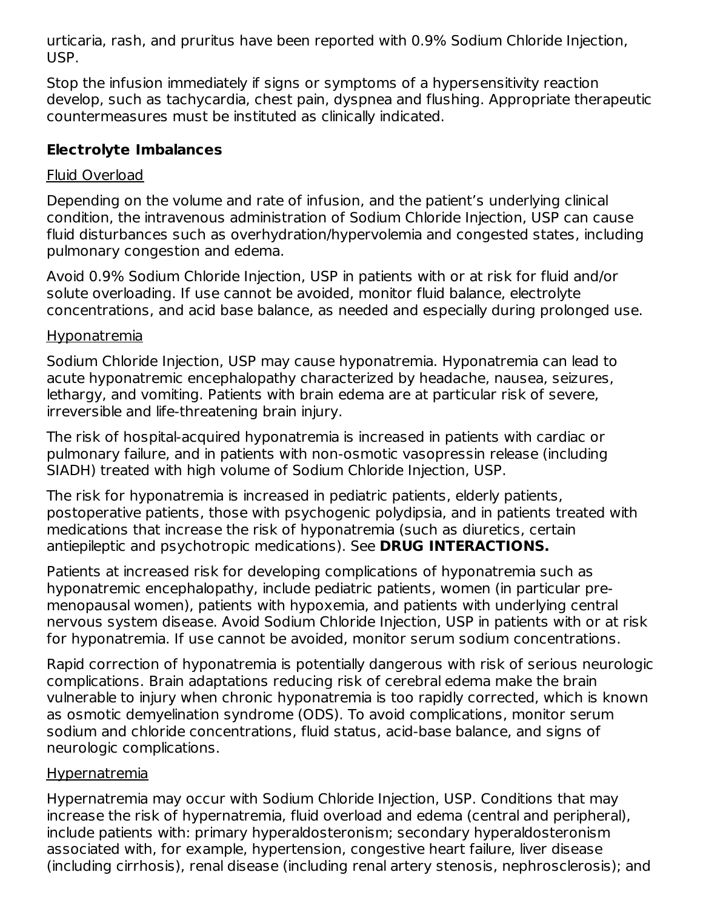urticaria, rash, and pruritus have been reported with 0.9% Sodium Chloride Injection, USP.

Stop the infusion immediately if signs or symptoms of a hypersensitivity reaction develop, such as tachycardia, chest pain, dyspnea and flushing. Appropriate therapeutic countermeasures must be instituted as clinically indicated.

# **Electrolyte Imbalances**

### Fluid Overload

Depending on the volume and rate of infusion, and the patient's underlying clinical condition, the intravenous administration of Sodium Chloride Injection, USP can cause fluid disturbances such as overhydration/hypervolemia and congested states, including pulmonary congestion and edema.

Avoid 0.9% Sodium Chloride Injection, USP in patients with or at risk for fluid and/or solute overloading. If use cannot be avoided, monitor fluid balance, electrolyte concentrations, and acid base balance, as needed and especially during prolonged use.

### Hyponatremia

Sodium Chloride Injection, USP may cause hyponatremia. Hyponatremia can lead to acute hyponatremic encephalopathy characterized by headache, nausea, seizures, lethargy, and vomiting. Patients with brain edema are at particular risk of severe, irreversible and life-threatening brain injury.

The risk of hospital-acquired hyponatremia is increased in patients with cardiac or pulmonary failure, and in patients with non-osmotic vasopressin release (including SIADH) treated with high volume of Sodium Chloride Injection, USP.

The risk for hyponatremia is increased in pediatric patients, elderly patients, postoperative patients, those with psychogenic polydipsia, and in patients treated with medications that increase the risk of hyponatremia (such as diuretics, certain antiepileptic and psychotropic medications). See **DRUG INTERACTIONS.**

Patients at increased risk for developing complications of hyponatremia such as hyponatremic encephalopathy, include pediatric patients, women (in particular premenopausal women), patients with hypoxemia, and patients with underlying central nervous system disease. Avoid Sodium Chloride Injection, USP in patients with or at risk for hyponatremia. If use cannot be avoided, monitor serum sodium concentrations.

Rapid correction of hyponatremia is potentially dangerous with risk of serious neurologic complications. Brain adaptations reducing risk of cerebral edema make the brain vulnerable to injury when chronic hyponatremia is too rapidly corrected, which is known as osmotic demyelination syndrome (ODS). To avoid complications, monitor serum sodium and chloride concentrations, fluid status, acid-base balance, and signs of neurologic complications.

### **Hypernatremia**

Hypernatremia may occur with Sodium Chloride Injection, USP. Conditions that may increase the risk of hypernatremia, fluid overload and edema (central and peripheral), include patients with: primary hyperaldosteronism; secondary hyperaldosteronism associated with, for example, hypertension, congestive heart failure, liver disease (including cirrhosis), renal disease (including renal artery stenosis, nephrosclerosis); and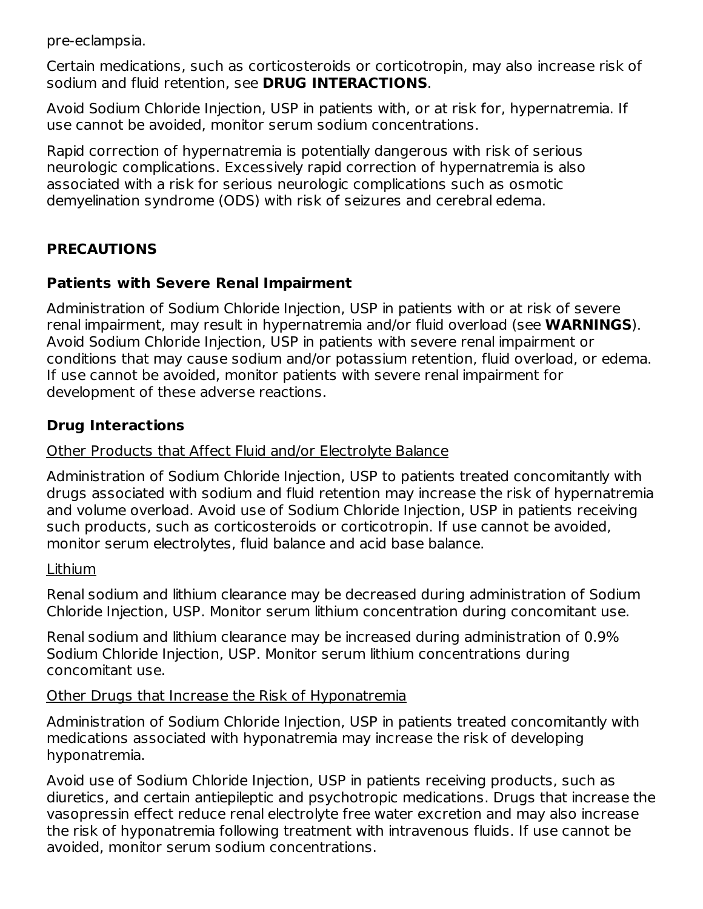pre-eclampsia.

Certain medications, such as corticosteroids or corticotropin, may also increase risk of sodium and fluid retention, see **DRUG INTERACTIONS**.

Avoid Sodium Chloride Injection, USP in patients with, or at risk for, hypernatremia. If use cannot be avoided, monitor serum sodium concentrations.

Rapid correction of hypernatremia is potentially dangerous with risk of serious neurologic complications. Excessively rapid correction of hypernatremia is also associated with a risk for serious neurologic complications such as osmotic demyelination syndrome (ODS) with risk of seizures and cerebral edema.

# **PRECAUTIONS**

### **Patients with Severe Renal Impairment**

Administration of Sodium Chloride Injection, USP in patients with or at risk of severe renal impairment, may result in hypernatremia and/or fluid overload (see **WARNINGS**). Avoid Sodium Chloride Injection, USP in patients with severe renal impairment or conditions that may cause sodium and/or potassium retention, fluid overload, or edema. If use cannot be avoided, monitor patients with severe renal impairment for development of these adverse reactions.

### **Drug Interactions**

#### Other Products that Affect Fluid and/or Electrolyte Balance

Administration of Sodium Chloride Injection, USP to patients treated concomitantly with drugs associated with sodium and fluid retention may increase the risk of hypernatremia and volume overload. Avoid use of Sodium Chloride Injection, USP in patients receiving such products, such as corticosteroids or corticotropin. If use cannot be avoided, monitor serum electrolytes, fluid balance and acid base balance.

#### Lithium

Renal sodium and lithium clearance may be decreased during administration of Sodium Chloride Injection, USP. Monitor serum lithium concentration during concomitant use.

Renal sodium and lithium clearance may be increased during administration of 0.9% Sodium Chloride Injection, USP. Monitor serum lithium concentrations during concomitant use.

#### Other Drugs that Increase the Risk of Hyponatremia

Administration of Sodium Chloride Injection, USP in patients treated concomitantly with medications associated with hyponatremia may increase the risk of developing hyponatremia.

Avoid use of Sodium Chloride Injection, USP in patients receiving products, such as diuretics, and certain antiepileptic and psychotropic medications. Drugs that increase the vasopressin effect reduce renal electrolyte free water excretion and may also increase the risk of hyponatremia following treatment with intravenous fluids. If use cannot be avoided, monitor serum sodium concentrations.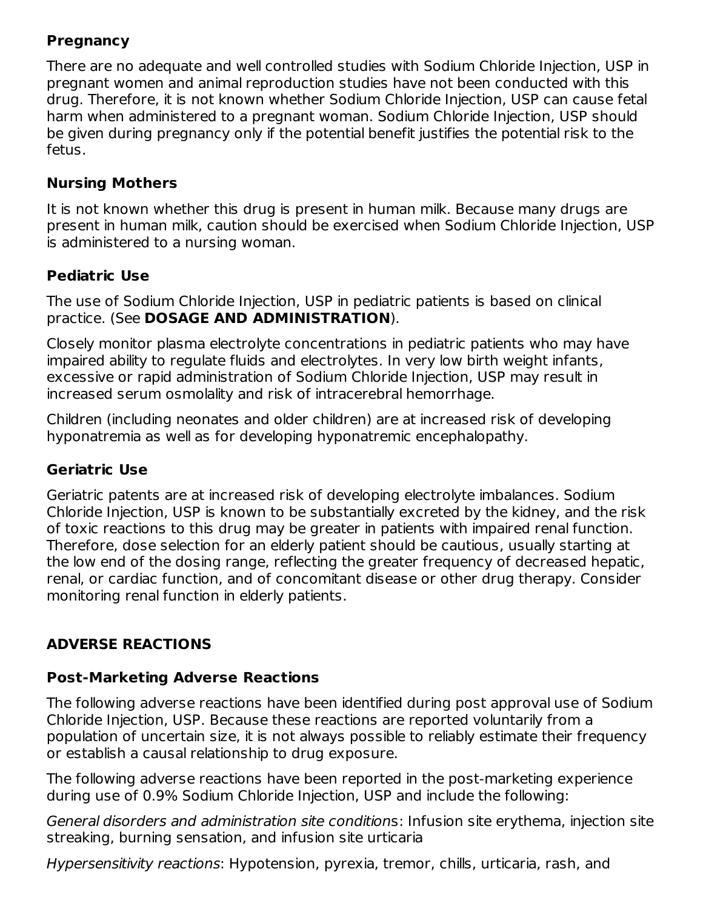# **Pregnancy**

There are no adequate and well controlled studies with Sodium Chloride Injection, USP in pregnant women and animal reproduction studies have not been conducted with this drug. Therefore, it is not known whether Sodium Chloride Injection, USP can cause fetal harm when administered to a pregnant woman. Sodium Chloride Injection, USP should be given during pregnancy only if the potential benefit justifies the potential risk to the fetus.

## **Nursing Mothers**

It is not known whether this drug is present in human milk. Because many drugs are present in human milk, caution should be exercised when Sodium Chloride Injection, USP is administered to a nursing woman.

## **Pediatric Use**

The use of Sodium Chloride Injection, USP in pediatric patients is based on clinical practice. (See **DOSAGE AND ADMINISTRATION**).

Closely monitor plasma electrolyte concentrations in pediatric patients who may have impaired ability to regulate fluids and electrolytes. In very low birth weight infants, excessive or rapid administration of Sodium Chloride Injection, USP may result in increased serum osmolality and risk of intracerebral hemorrhage.

Children (including neonates and older children) are at increased risk of developing hyponatremia as well as for developing hyponatremic encephalopathy.

# **Geriatric Use**

Geriatric patents are at increased risk of developing electrolyte imbalances. Sodium Chloride Injection, USP is known to be substantially excreted by the kidney, and the risk of toxic reactions to this drug may be greater in patients with impaired renal function. Therefore, dose selection for an elderly patient should be cautious, usually starting at the low end of the dosing range, reflecting the greater frequency of decreased hepatic, renal, or cardiac function, and of concomitant disease or other drug therapy. Consider monitoring renal function in elderly patients.

# **ADVERSE REACTIONS**

### **Post-Marketing Adverse Reactions**

The following adverse reactions have been identified during post approval use of Sodium Chloride Injection, USP. Because these reactions are reported voluntarily from a population of uncertain size, it is not always possible to reliably estimate their frequency or establish a causal relationship to drug exposure.

The following adverse reactions have been reported in the post-marketing experience during use of 0.9% Sodium Chloride Injection, USP and include the following:

General disorders and administration site conditions: Infusion site erythema, injection site streaking, burning sensation, and infusion site urticaria

Hypersensitivity reactions: Hypotension, pyrexia, tremor, chills, urticaria, rash, and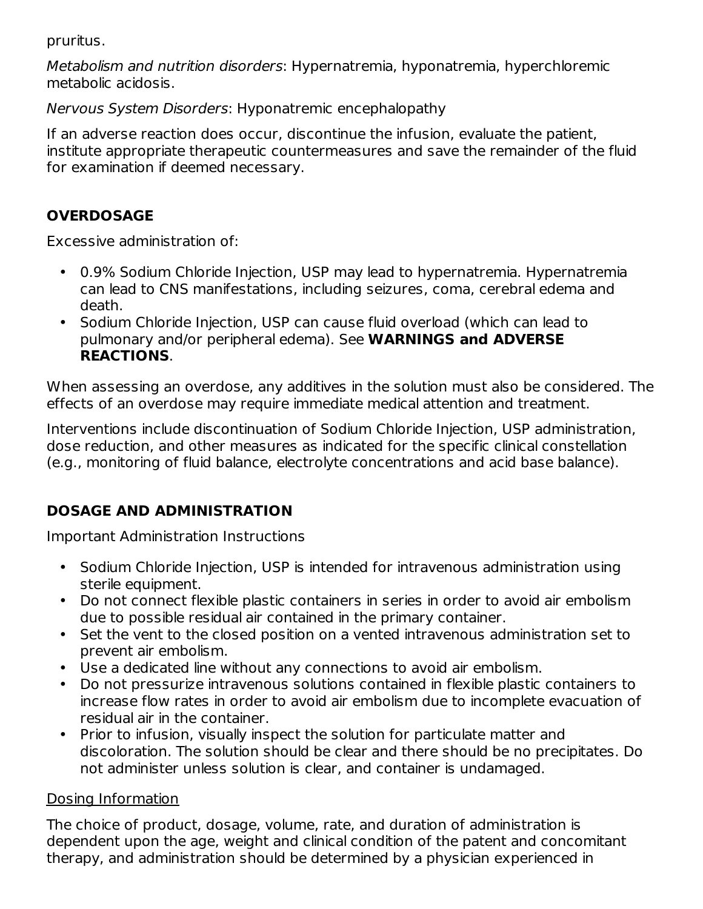pruritus.

Metabolism and nutrition disorders: Hypernatremia, hyponatremia, hyperchloremic metabolic acidosis.

Nervous System Disorders: Hyponatremic encephalopathy

If an adverse reaction does occur, discontinue the infusion, evaluate the patient, institute appropriate therapeutic countermeasures and save the remainder of the fluid for examination if deemed necessary.

# **OVERDOSAGE**

Excessive administration of:

- 0.9% Sodium Chloride Injection, USP may lead to hypernatremia. Hypernatremia can lead to CNS manifestations, including seizures, coma, cerebral edema and death.
- Sodium Chloride Injection, USP can cause fluid overload (which can lead to pulmonary and/or peripheral edema). See **WARNINGS and ADVERSE REACTIONS**.

When assessing an overdose, any additives in the solution must also be considered. The effects of an overdose may require immediate medical attention and treatment.

Interventions include discontinuation of Sodium Chloride Injection, USP administration, dose reduction, and other measures as indicated for the specific clinical constellation (e.g., monitoring of fluid balance, electrolyte concentrations and acid base balance).

# **DOSAGE AND ADMINISTRATION**

Important Administration Instructions

- Sodium Chloride Injection, USP is intended for intravenous administration using sterile equipment.
- Do not connect flexible plastic containers in series in order to avoid air embolism due to possible residual air contained in the primary container.
- Set the vent to the closed position on a vented intravenous administration set to prevent air embolism.
- Use a dedicated line without any connections to avoid air embolism.
- Do not pressurize intravenous solutions contained in flexible plastic containers to increase flow rates in order to avoid air embolism due to incomplete evacuation of residual air in the container.
- Prior to infusion, visually inspect the solution for particulate matter and discoloration. The solution should be clear and there should be no precipitates. Do not administer unless solution is clear, and container is undamaged.

# Dosing Information

The choice of product, dosage, volume, rate, and duration of administration is dependent upon the age, weight and clinical condition of the patent and concomitant therapy, and administration should be determined by a physician experienced in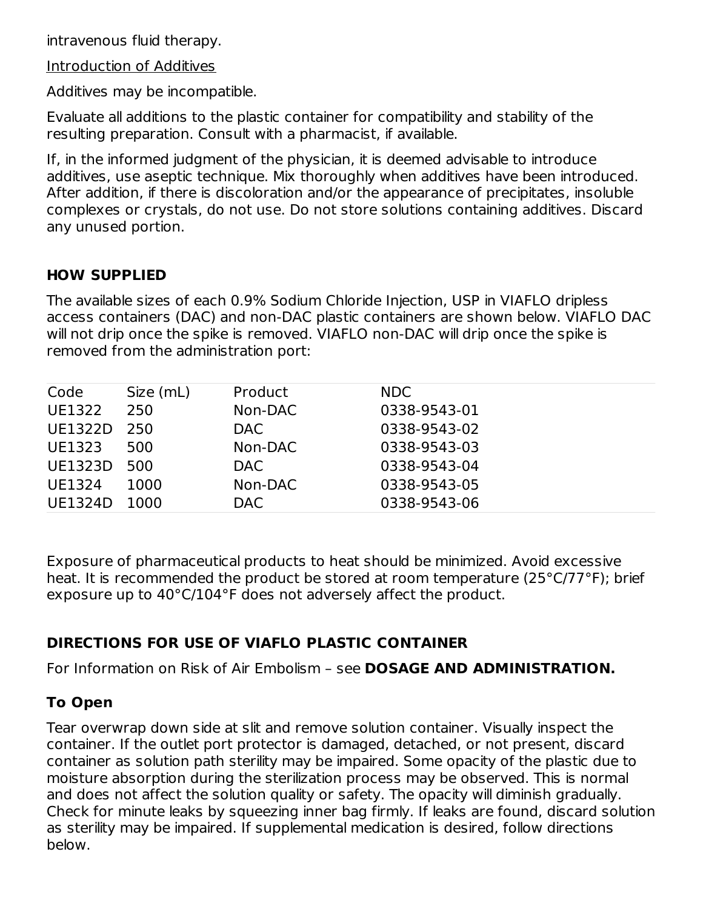intravenous fluid therapy.

Introduction of Additives

Additives may be incompatible.

Evaluate all additions to the plastic container for compatibility and stability of the resulting preparation. Consult with a pharmacist, if available.

If, in the informed judgment of the physician, it is deemed advisable to introduce additives, use aseptic technique. Mix thoroughly when additives have been introduced. After addition, if there is discoloration and/or the appearance of precipitates, insoluble complexes or crystals, do not use. Do not store solutions containing additives. Discard any unused portion.

# **HOW SUPPLIED**

The available sizes of each 0.9% Sodium Chloride Injection, USP in VIAFLO dripless access containers (DAC) and non-DAC plastic containers are shown below. VIAFLO DAC will not drip once the spike is removed. VIAFLO non-DAC will drip once the spike is removed from the administration port:

| Code           | Size (mL) | Product | <b>NDC</b>   |
|----------------|-----------|---------|--------------|
| UE1322         | 250       | Non-DAC | 0338-9543-01 |
| UE1322D        | 250       | DAC.    | 0338-9543-02 |
| UE1323         | 500       | Non-DAC | 0338-9543-03 |
| <b>UE1323D</b> | 500       | DAC.    | 0338-9543-04 |
| UE1324         | 1000      | Non-DAC | 0338-9543-05 |
| <b>UE1324D</b> | 1000      | DAC     | 0338-9543-06 |

Exposure of pharmaceutical products to heat should be minimized. Avoid excessive heat. It is recommended the product be stored at room temperature (25°C/77°F); brief exposure up to 40°C/104°F does not adversely affect the product.

# **DIRECTIONS FOR USE OF VIAFLO PLASTIC CONTAINER**

For Information on Risk of Air Embolism – see **DOSAGE AND ADMINISTRATION.**

# **To Open**

Tear overwrap down side at slit and remove solution container. Visually inspect the container. If the outlet port protector is damaged, detached, or not present, discard container as solution path sterility may be impaired. Some opacity of the plastic due to moisture absorption during the sterilization process may be observed. This is normal and does not affect the solution quality or safety. The opacity will diminish gradually. Check for minute leaks by squeezing inner bag firmly. If leaks are found, discard solution as sterility may be impaired. If supplemental medication is desired, follow directions below.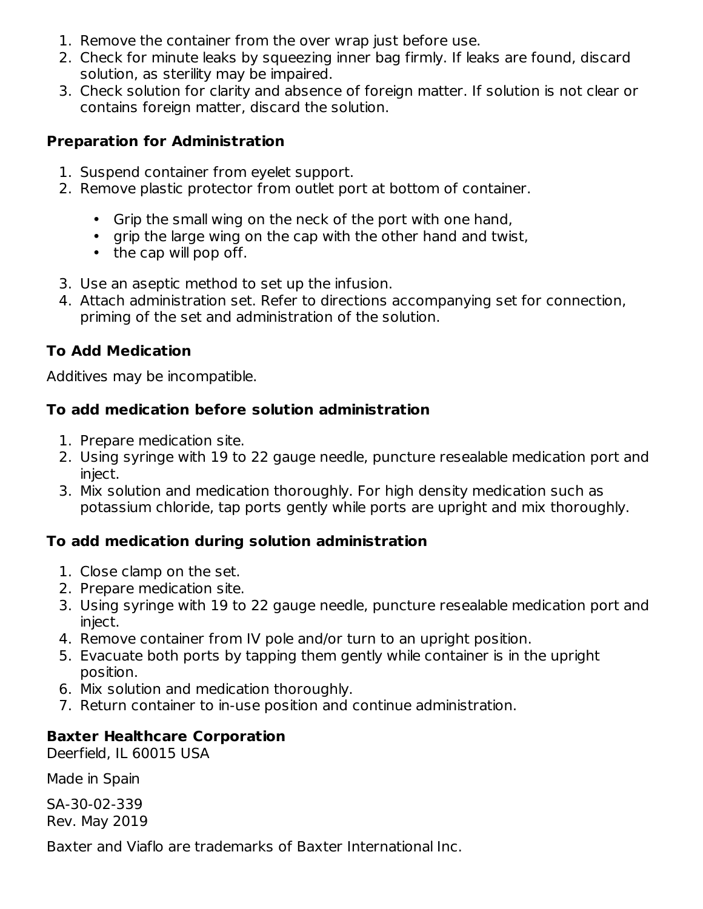- 1. Remove the container from the over wrap just before use.
- 2. Check for minute leaks by squeezing inner bag firmly. If leaks are found, discard solution, as sterility may be impaired.
- 3. Check solution for clarity and absence of foreign matter. If solution is not clear or contains foreign matter, discard the solution.

## **Preparation for Administration**

- 1. Suspend container from eyelet support.
- 2. Remove plastic protector from outlet port at bottom of container.
	- Grip the small wing on the neck of the port with one hand,
	- grip the large wing on the cap with the other hand and twist,
	- the cap will pop off.
- 3. Use an aseptic method to set up the infusion.
- 4. Attach administration set. Refer to directions accompanying set for connection, priming of the set and administration of the solution.

# **To Add Medication**

Additives may be incompatible.

# **To add medication before solution administration**

- 1. Prepare medication site.
- 2. Using syringe with 19 to 22 gauge needle, puncture resealable medication port and inject.
- 3. Mix solution and medication thoroughly. For high density medication such as potassium chloride, tap ports gently while ports are upright and mix thoroughly.

# **To add medication during solution administration**

- 1. Close clamp on the set.
- 2. Prepare medication site.
- 3. Using syringe with 19 to 22 gauge needle, puncture resealable medication port and inject.
- 4. Remove container from IV pole and/or turn to an upright position.
- 5. Evacuate both ports by tapping them gently while container is in the upright position.
- 6. Mix solution and medication thoroughly.
- 7. Return container to in-use position and continue administration.

# **Baxter Healthcare Corporation**

Deerfield, IL 60015 USA

Made in Spain

SA-30-02-339 Rev. May 2019

Baxter and Viaflo are trademarks of Baxter International Inc.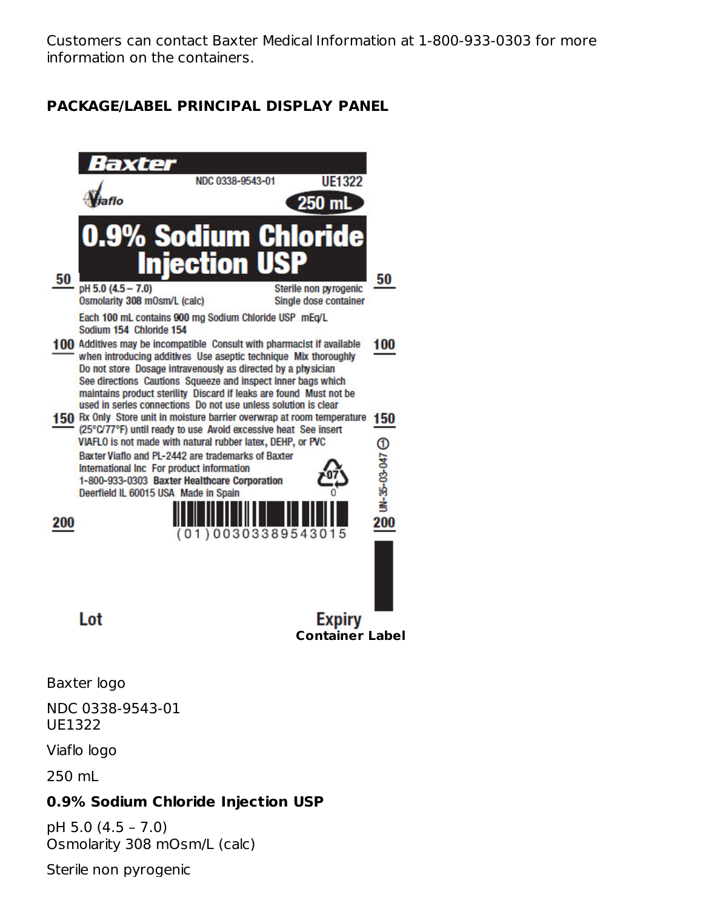Customers can contact Baxter Medical Information at 1-800-933-0303 for more information on the containers.

# **PACKAGE/LABEL PRINCIPAL DISPLAY PANEL**



Baxter logo

NDC 0338-9543-01 UE1322

Viaflo logo

250 mL

### **0.9% Sodium Chloride Injection USP**

pH 5.0 (4.5 – 7.0) Osmolarity 308 mOsm/L (calc)

Sterile non pyrogenic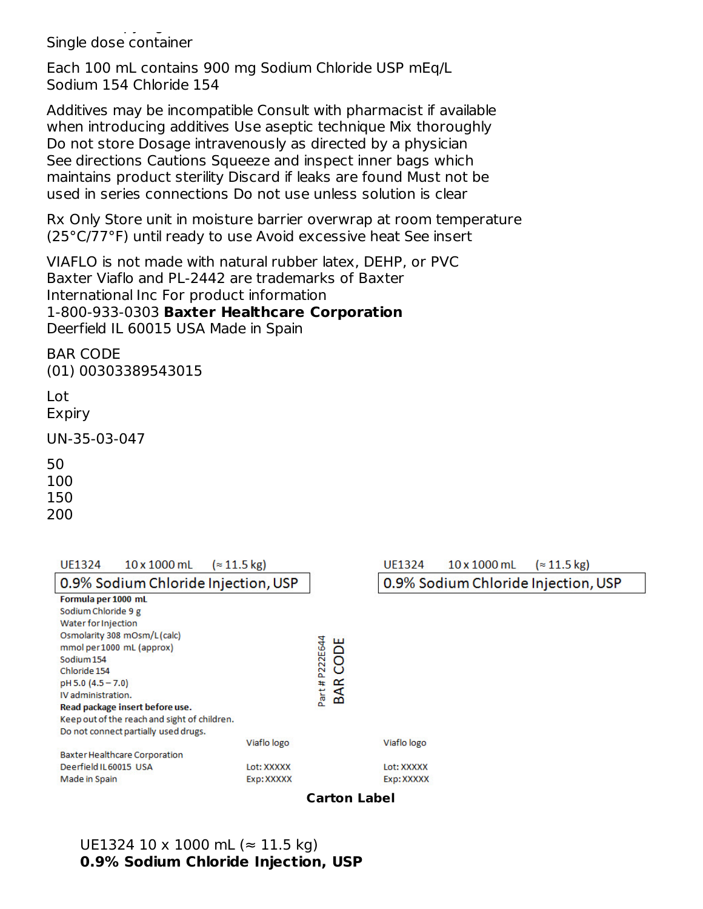Sterile non pyrogenic Single dose container

Each 100 mL contains 900 mg Sodium Chloride USP mEq/L Sodium 154 Chloride 154

Additives may be incompatible Consult with pharmacist if available when introducing additives Use aseptic technique Mix thoroughly Do not store Dosage intravenously as directed by a physician See directions Cautions Squeeze and inspect inner bags which maintains product sterility Discard if leaks are found Must not be used in series connections Do not use unless solution is clear

Rx Only Store unit in moisture barrier overwrap at room temperature (25°C/77°F) until ready to use Avoid excessive heat See insert

VIAFLO is not made with natural rubber latex, DEHP, or PVC Baxter Viaflo and PL-2442 are trademarks of Baxter International Inc For product information 1-800-933-0303 **Baxter Healthcare Corporation** Deerfield IL 60015 USA Made in Spain

BAR CODE (01) 00303389543015

Lot Expiry

UN-35-03-047

50

100

150

200

| $10 \times 1000$ mL<br>UF1324                | $\approx$ 11.5 kg) |            | UE1324      | $10 \times 1000$ mL                 | $\approx$ 11.5 kg) |  |
|----------------------------------------------|--------------------|------------|-------------|-------------------------------------|--------------------|--|
| 0.9% Sodium Chloride Injection, USP          |                    |            |             | 0.9% Sodium Chloride Injection, USP |                    |  |
| Formula per 1000 mL                          |                    |            |             |                                     |                    |  |
| Sodium Chloride 9 g                          |                    |            |             |                                     |                    |  |
| Water for Injection                          |                    |            |             |                                     |                    |  |
| Osmolarity 308 mOsm/L(calc)                  |                    | ш          |             |                                     |                    |  |
| mmol per 1000 mL (approx)                    | Part # P222E644    |            |             |                                     |                    |  |
| Sodium 154                                   | 8                  |            |             |                                     |                    |  |
| Chloride 154                                 |                    | $\circ$    |             |                                     |                    |  |
| pH 5.0 (4.5 - 7.0)                           | $\alpha$           |            |             |                                     |                    |  |
| IV administration.                           | ⋖<br>m             |            |             |                                     |                    |  |
| Read package insert before use.              |                    |            |             |                                     |                    |  |
| Keep out of the reach and sight of children. |                    |            |             |                                     |                    |  |
| Do not connect partially used drugs.         |                    |            |             |                                     |                    |  |
|                                              | Viaflo logo        |            | Viaflo logo |                                     |                    |  |
| Baxter Healthcare Corporation                |                    |            |             |                                     |                    |  |
| Deerfield IL60015 USA                        | Lot: XXXXX         |            | Lot: XXXXX  |                                     |                    |  |
| Made in Spain                                |                    | Exp: XXXXX |             |                                     |                    |  |

**Carton Label**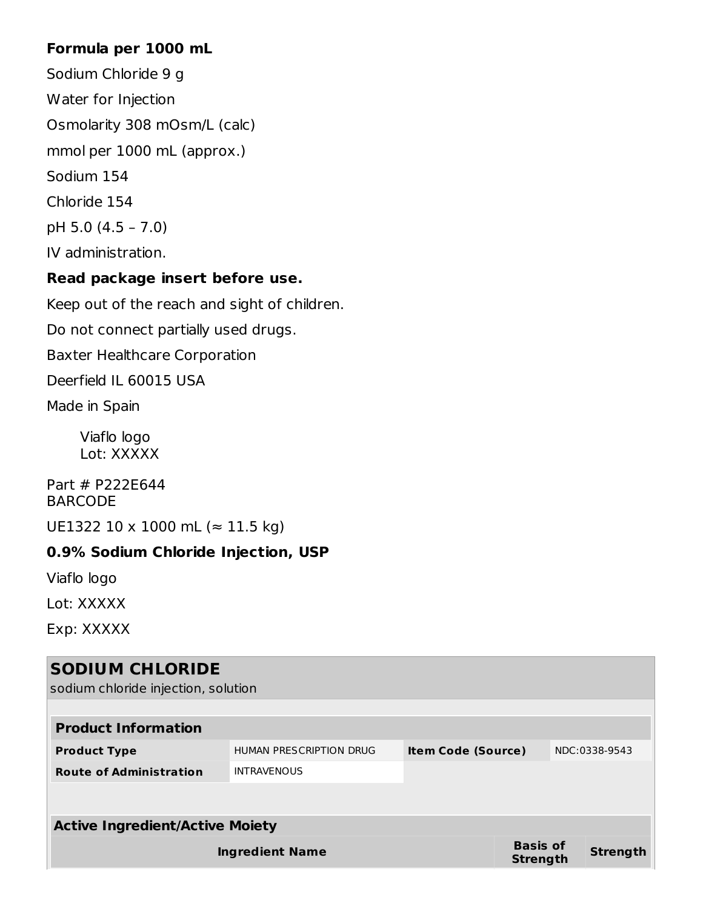## **Formula per 1000 mL**

Sodium Chloride 9 g Water for Injection Osmolarity 308 mOsm/L (calc) mmol per 1000 mL (approx.) Sodium 154 Chloride 154 pH 5.0 (4.5 – 7.0) IV administration.

## **Read package insert before use.**

Keep out of the reach and sight of children.

Do not connect partially used drugs.

Baxter Healthcare Corporation

Deerfield IL 60015 USA

Made in Spain

Viaflo logo Lot: XXXXX

Part # P222E644 BARCODE

UE1322 10 x 1000 mL (≈ 11.5 kg)

# **0.9% Sodium Chloride Injection, USP**

Viaflo logo

Lot: XXXXX

Exp: XXXXX

| <b>SODIUM CHLORIDE</b><br>sodium chloride injection, solution |                         |                                    |                 |  |
|---------------------------------------------------------------|-------------------------|------------------------------------|-----------------|--|
| <b>Product Information</b>                                    |                         |                                    |                 |  |
| <b>Product Type</b>                                           | HUMAN PRESCRIPTION DRUG | <b>Item Code (Source)</b>          | NDC:0338-9543   |  |
| <b>Route of Administration</b>                                | <b>INTRAVENOUS</b>      |                                    |                 |  |
|                                                               |                         |                                    |                 |  |
| <b>Active Ingredient/Active Moiety</b>                        |                         |                                    |                 |  |
|                                                               | <b>Ingredient Name</b>  | <b>Basis of</b><br><b>Strength</b> | <b>Strength</b> |  |